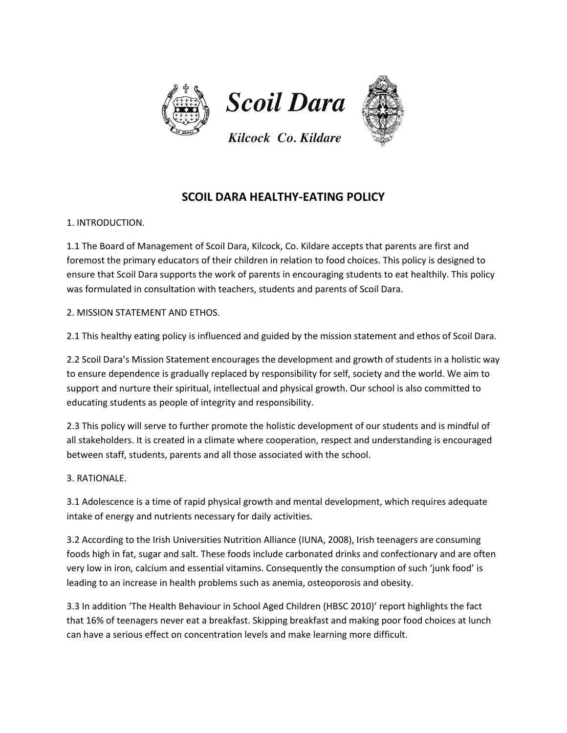

# **SCOIL DARA HEALTHY-EATING POLICY**

1. INTRODUCTION.

1.1 The Board of Management of Scoil Dara, Kilcock, Co. Kildare accepts that parents are first and foremost the primary educators of their children in relation to food choices. This policy is designed to ensure that Scoil Dara supports the work of parents in encouraging students to eat healthily. This policy was formulated in consultation with teachers, students and parents of Scoil Dara.

2. MISSION STATEMENT AND ETHOS.

2.1 This healthy eating policy is influenced and guided by the mission statement and ethos of Scoil Dara.

2.2 Scoil Dara's Mission Statement encourages the development and growth of students in a holistic way to ensure dependence is gradually replaced by responsibility for self, society and the world. We aim to support and nurture their spiritual, intellectual and physical growth. Our school is also committed to educating students as people of integrity and responsibility.

2.3 This policy will serve to further promote the holistic development of our students and is mindful of all stakeholders. It is created in a climate where cooperation, respect and understanding is encouraged between staff, students, parents and all those associated with the school.

3. RATIONALE.

3.1 Adolescence is a time of rapid physical growth and mental development, which requires adequate intake of energy and nutrients necessary for daily activities.

3.2 According to the Irish Universities Nutrition Alliance (IUNA, 2008), Irish teenagers are consuming foods high in fat, sugar and salt. These foods include carbonated drinks and confectionary and are often very low in iron, calcium and essential vitamins. Consequently the consumption of such 'junk food' is leading to an increase in health problems such as anemia, osteoporosis and obesity.

3.3 In addition 'The Health Behaviour in School Aged Children (HBSC 2010)' report highlights the fact that 16% of teenagers never eat a breakfast. Skipping breakfast and making poor food choices at lunch can have a serious effect on concentration levels and make learning more difficult.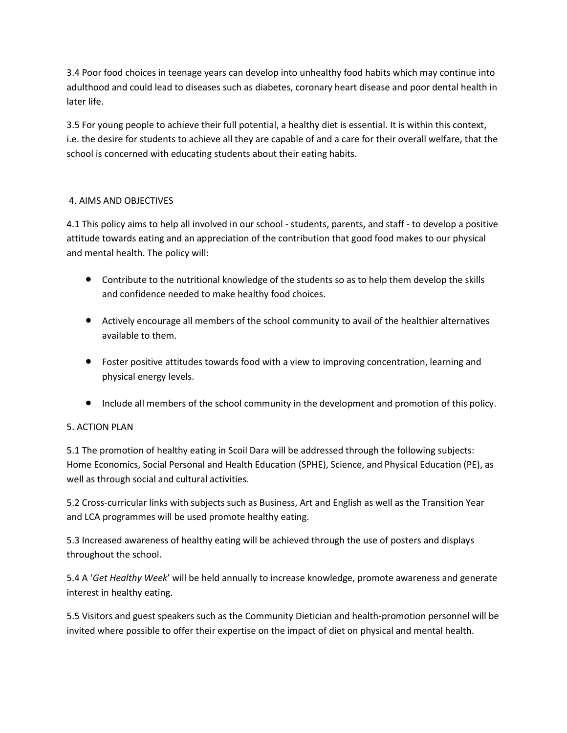3.4 Poor food choices in teenage years can develop into unhealthy food habits which may continue into adulthood and could lead to diseases such as diabetes, coronary heart disease and poor dental health in later life.

3.5 For young people to achieve their full potential, a healthy diet is essential. It is within this context, i.e. the desire for students to achieve all they are capable of and a care for their overall welfare, that the school is concerned with educating students about their eating habits.

# 4. AIMS AND OBJECTIVES

4.1 This policy aims to help all involved in our school - students, parents, and staff - to develop a positive attitude towards eating and an appreciation of the contribution that good food makes to our physical and mental health. The policy will:

- Contribute to the nutritional knowledge of the students so as to help them develop the skills and confidence needed to make healthy food choices.
- Actively encourage all members of the school community to avail of the healthier alternatives available to them.
- Foster positive attitudes towards food with a view to improving concentration, learning and physical energy levels.
- Include all members of the school community in the development and promotion of this policy.

## 5. ACTION PLAN

5.1 The promotion of healthy eating in Scoil Dara will be addressed through the following subjects: Home Economics, Social Personal and Health Education (SPHE), Science, and Physical Education (PE), as well as through social and cultural activities.

5.2 Cross-curricular links with subjects such as Business, Art and English as well as the Transition Year and LCA programmes will be used promote healthy eating.

5.3 Increased awareness of healthy eating will be achieved through the use of posters and displays throughout the school.

5.4 A '*Get Healthy Week*' will be held annually to increase knowledge, promote awareness and generate interest in healthy eating.

5.5 Visitors and guest speakers such as the Community Dietician and health-promotion personnel will be invited where possible to offer their expertise on the impact of diet on physical and mental health.